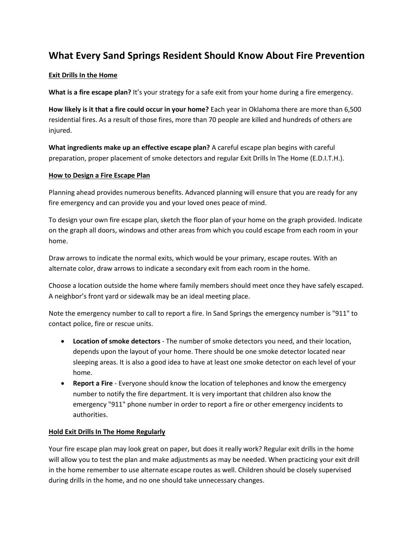# **What Every Sand Springs Resident Should Know About Fire Prevention**

### **Exit Drills In the Home**

**What is a fire escape plan?** It's your strategy for a safe exit from your home during a fire emergency.

**How likely is it that a fire could occur in your home?** Each year in Oklahoma there are more than 6,500 residential fires. As a result of those fires, more than 70 people are killed and hundreds of others are injured.

**What ingredients make up an effective escape plan?** A careful escape plan begins with careful preparation, proper placement of smoke detectors and regular Exit Drills In The Home (E.D.I.T.H.).

#### **How to Design a Fire Escape Plan**

Planning ahead provides numerous benefits. Advanced planning will ensure that you are ready for any fire emergency and can provide you and your loved ones peace of mind.

To design your own fire escape plan, sketch the floor plan of your home on the graph provided. Indicate on the graph all doors, windows and other areas from which you could escape from each room in your home.

Draw arrows to indicate the normal exits, which would be your primary, escape routes. With an alternate color, draw arrows to indicate a secondary exit from each room in the home.

Choose a location outside the home where family members should meet once they have safely escaped. A neighbor's front yard or sidewalk may be an ideal meeting place.

Note the emergency number to call to report a fire. In Sand Springs the emergency number is "911" to contact police, fire or rescue units.

- **Location of smoke detectors** The number of smoke detectors you need, and their location, depends upon the layout of your home. There should be one smoke detector located near sleeping areas. It is also a good idea to have at least one smoke detector on each level of your home.
- **Report a Fire** Everyone should know the location of telephones and know the emergency number to notify the fire department. It is very important that children also know the emergency "911" phone number in order to report a fire or other emergency incidents to authorities.

#### **Hold Exit Drills In The Home Regularly**

Your fire escape plan may look great on paper, but does it really work? Regular exit drills in the home will allow you to test the plan and make adjustments as may be needed. When practicing your exit drill in the home remember to use alternate escape routes as well. Children should be closely supervised during drills in the home, and no one should take unnecessary changes.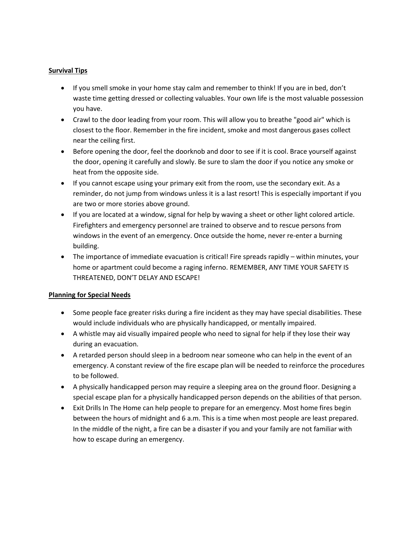## **Survival Tips**

- If you smell smoke in your home stay calm and remember to think! If you are in bed, don't waste time getting dressed or collecting valuables. Your own life is the most valuable possession you have.
- Crawl to the door leading from your room. This will allow you to breathe "good air" which is closest to the floor. Remember in the fire incident, smoke and most dangerous gases collect near the ceiling first.
- Before opening the door, feel the doorknob and door to see if it is cool. Brace yourself against the door, opening it carefully and slowly. Be sure to slam the door if you notice any smoke or heat from the opposite side.
- If you cannot escape using your primary exit from the room, use the secondary exit. As a reminder, do not jump from windows unless it is a last resort! This is especially important if you are two or more stories above ground.
- If you are located at a window, signal for help by waving a sheet or other light colored article. Firefighters and emergency personnel are trained to observe and to rescue persons from windows in the event of an emergency. Once outside the home, never re-enter a burning building.
- The importance of immediate evacuation is critical! Fire spreads rapidly within minutes, your home or apartment could become a raging inferno. REMEMBER, ANY TIME YOUR SAFETY IS THREATENED, DON'T DELAY AND ESCAPE!

#### **Planning for Special Needs**

- Some people face greater risks during a fire incident as they may have special disabilities. These would include individuals who are physically handicapped, or mentally impaired.
- A whistle may aid visually impaired people who need to signal for help if they lose their way during an evacuation.
- A retarded person should sleep in a bedroom near someone who can help in the event of an emergency. A constant review of the fire escape plan will be needed to reinforce the procedures to be followed.
- A physically handicapped person may require a sleeping area on the ground floor. Designing a special escape plan for a physically handicapped person depends on the abilities of that person.
- Exit Drills In The Home can help people to prepare for an emergency. Most home fires begin between the hours of midnight and 6 a.m. This is a time when most people are least prepared. In the middle of the night, a fire can be a disaster if you and your family are not familiar with how to escape during an emergency.